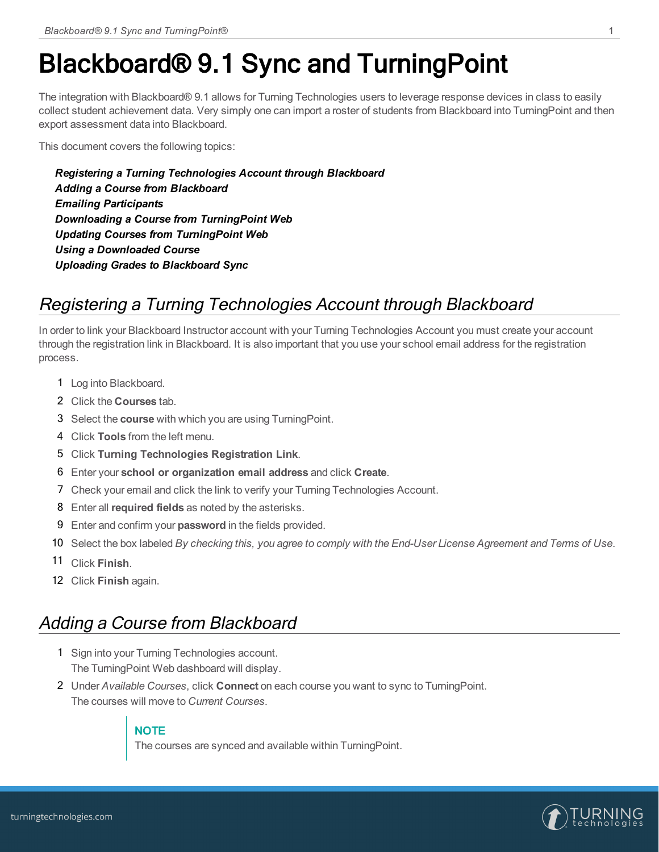# Blackboard® 9.1 Sync and TurningPoint

The integration with Blackboard® 9.1 allows for Turning Technologies users to leverage response devices in class to easily collect student achievement data. Very simply one can import a roster of students from Blackboard into TurningPoint and then export assessment data into Blackboard.

This document covers the following topics:

*Registering a Turning [Technologies](#page-0-0) Account through Blackboard Adding a Course from [Blackboard](#page-0-1) Emailing [Participants](#page-1-0) [Downloading](#page-1-1) a Course from TurningPoint Web Updating Courses from [TurningPoint](#page-1-2) Web Using a [Downloaded](#page-1-3) Course Uploading Grades to [Blackboard](#page-2-0) Sync*

### <span id="page-0-0"></span>Registering <sup>a</sup> Turning Technologies Account through Blackboard

In order to link your Blackboard Instructor account with your Turning Technologies Account you must create your account through the registration link in Blackboard. It is also important that you use your school email address for the registration process.

- 1 Log into Blackboard.
- 2 Click the **Courses** tab.
- 3 Select the **course** with which you are using TurningPoint.
- 4 Click **Tools** from the left menu.
- 5 Click **Turning Technologies Registration Link**.
- 6 Enter your **school or organization email address** and click **Create**.
- 7 Check your email and click the link to verify your Turning Technologies Account.
- 8 Enter all **required fields** as noted by the asterisks.
- 9 Enter and confirm your **password** in the fields provided.
- 10 Select the box labeled By checking this, you agree to comply with the End-User License Agreement and Terms of Use.
- 11 Click **Finish**.
- 12 Click **Finish** again.

#### <span id="page-0-1"></span>Adding <sup>a</sup> Course from Blackboard

- 1 Sign into your Turning Technologies account. The TurningPoint Web dashboard will display.
- 2 Under *Available Courses*, click **Connect** on each course you want to sync to TurningPoint. The courses will move to *Current Courses*.

#### **NOTE**

The courses are synced and available within TurningPoint.

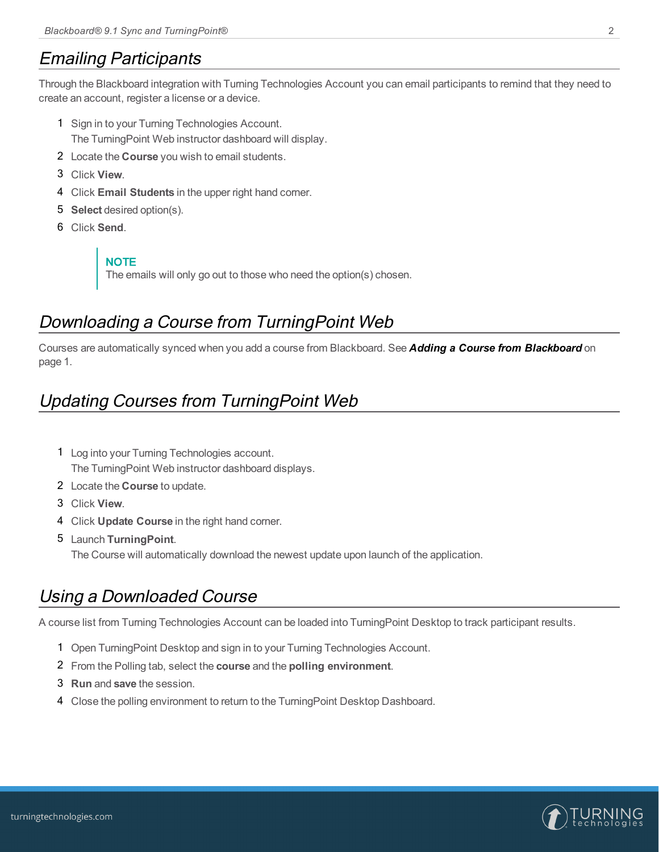#### <span id="page-1-0"></span>Emailing Participants

Through the Blackboard integration with Turning Technologies Account you can email participants to remind that they need to create an account, register a license or a device.

- 1 Sign in to your Turning Technologies Account. The TurningPoint Web instructor dashboard will display.
- 2 Locate the **Course** you wish to email students.
- 3 Click **View**.
- 4 Click **Email Students** in the upper right hand corner.
- 5 **Select** desired option(s).
- 6 Click **Send**.

**NOTE** The emails will only go out to those who need the option(s) chosen.

#### <span id="page-1-1"></span>Downloading <sup>a</sup> Course from TurningPoint Web

Courses are automatically synced when you add a course from Blackboard. See *Adding a Course from [Blackboard](#page-0-1)* on [page](#page-0-1) 1.

### <span id="page-1-2"></span>Updating Courses from TurningPoint Web

- 1 Log into your Turning Technologies account. The TurningPoint Web instructor dashboard displays.
- 2 Locate the **Course** to update.
- 3 Click **View**.
- 4 Click **Update Course** in the right hand corner.
- 5 Launch **TurningPoint**. The Course will automatically download the newest update upon launch of the application.

#### <span id="page-1-3"></span>Using <sup>a</sup> Downloaded Course

A course list from Turning Technologies Account can be loaded into TurningPoint Desktop to track participant results.

- 1 Open TurningPoint Desktop and sign in to your Turning Technologies Account.
- 2 From the Polling tab, select the **course** and the **polling environment**.
- 3 **Run** and **save** the session.
- 4 Close the polling environment to return to the TurningPoint Desktop Dashboard.

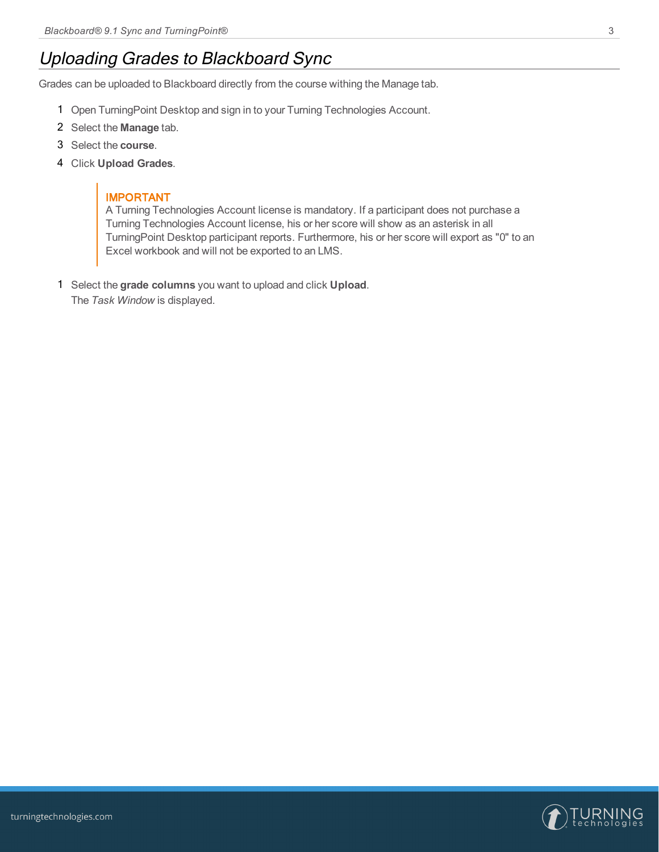### <span id="page-2-0"></span>Uploading Grades to Blackboard Sync

Grades can be uploaded to Blackboard directly from the course withing the Manage tab.

- 1 Open TurningPoint Desktop and sign in to your Turning Technologies Account.
- 2 Select the **Manage** tab.
- 3 Select the **course**.
- 4 Click **Upload Grades**.

#### IMPORTANT

A Turning Technologies Account license is mandatory. If a participant does not purchase a Turning Technologies Account license, his or her score will show as an asterisk in all TurningPoint Desktop participant reports. Furthermore, his or her score will export as "0" to an Excel workbook and will not be exported to an LMS.

1 Select the **grade columns** you want to upload and click **Upload**. The *Task Window* is displayed.